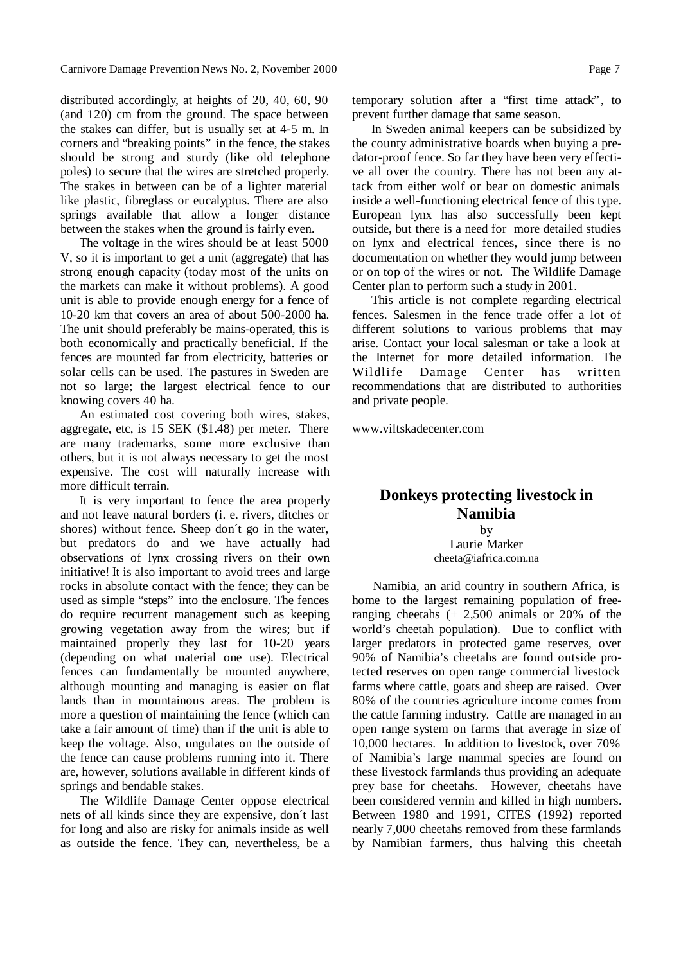distributed accordingly, at heights of 20, 40, 60, 90 (and 120) cm from the ground. The space between the stakes can differ, but is usually set at 4-5 m. In corners and "breaking points" in the fence, the stakes should be strong and sturdy (like old telephone poles) to secure that the wires are stretched properly. The stakes in between can be of a lighter material like plastic, fibreglass or eucalyptus. There are also springs available that allow a longer distance between the stakes when the ground is fairly even.

The voltage in the wires should be at least 5000 V, so it is important to get a unit (aggregate) that has strong enough capacity (today most of the units on the markets can make it without problems). A good unit is able to provide enough energy for a fence of 10-20 km that covers an area of about 500-2000 ha. The unit should preferably be mains-operated, this is both economically and practically beneficial. If the fences are mounted far from electricity, batteries or solar cells can be used. The pastures in Sweden are not so large; the largest electrical fence to our knowing covers 40 ha.

An estimated cost covering both wires, stakes, aggregate, etc, is 15 SEK (\$1.48) per meter. There are many trademarks, some more exclusive than others, but it is not always necessary to get the most expensive. The cost will naturally increase with more difficult terrain.

It is very important to fence the area properly and not leave natural borders (i. e. rivers, ditches or shores) without fence. Sheep don´t go in the water, but predators do and we have actually had observations of lynx crossing rivers on their own initiative! It is also important to avoid trees and large rocks in absolute contact with the fence; they can be used as simple "steps" into the enclosure. The fences do require recurrent management such as keeping growing vegetation away from the wires; but if maintained properly they last for 10-20 years (depending on what material one use). Electrical fences can fundamentally be mounted anywhere, although mounting and managing is easier on flat lands than in mountainous areas. The problem is more a question of maintaining the fence (which can take a fair amount of time) than if the unit is able to keep the voltage. Also, ungulates on the outside of the fence can cause problems running into it. There are, however, solutions available in different kinds of springs and bendable stakes.

The Wildlife Damage Center oppose electrical nets of all kinds since they are expensive, don´t last for long and also are risky for animals inside as well as outside the fence. They can, nevertheless, be a temporary solution after a "first time attack", to prevent further damage that same season.

In Sweden animal keepers can be subsidized by the county administrative boards when buying a predator-proof fence. So far they have been very effective all over the country. There has not been any attack from either wolf or bear on domestic animals inside a well-functioning electrical fence of this type. European lynx has also successfully been kept outside, but there is a need for more detailed studies on lynx and electrical fences, since there is no documentation on whether they would jump between or on top of the wires or not. The Wildlife Damage Center plan to perform such a study in 2001.

This article is not complete regarding electrical fences. Salesmen in the fence trade offer a lot of different solutions to various problems that may arise. Contact your local salesman or take a look at the Internet for more detailed information. The Wildlife Damage Center has written recommendations that are distributed to authorities and private people.

www.viltskadecenter.com

## **Donkeys protecting livestock in Namibia**

by Laurie Marker cheeta@iafrica.com.na

Namibia, an arid country in southern Africa, is home to the largest remaining population of freeranging cheetahs (+ 2,500 animals or 20% of the world's cheetah population). Due to conflict with larger predators in protected game reserves, over 90% of Namibia's cheetahs are found outside protected reserves on open range commercial livestock farms where cattle, goats and sheep are raised. Over 80% of the countries agriculture income comes from the cattle farming industry. Cattle are managed in an open range system on farms that average in size of 10,000 hectares. In addition to livestock, over 70% of Namibia's large mammal species are found on these livestock farmlands thus providing an adequate prey base for cheetahs. However, cheetahs have been considered vermin and killed in high numbers. Between 1980 and 1991, CITES (1992) reported nearly 7,000 cheetahs removed from these farmlands by Namibian farmers, thus halving this cheetah